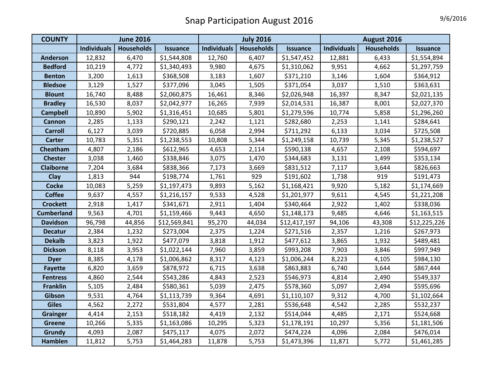| <b>COUNTY</b>     | <b>June 2016</b>   |                   |                 | <b>July 2016</b>   |            |                 | August 2016        |                   |                 |
|-------------------|--------------------|-------------------|-----------------|--------------------|------------|-----------------|--------------------|-------------------|-----------------|
|                   | <b>Individuals</b> | <b>Households</b> | <b>Issuance</b> | <b>Individuals</b> | Households | <b>Issuance</b> | <b>Individuals</b> | <b>Households</b> | <b>Issuance</b> |
| <b>Anderson</b>   | 12,832             | 6,470             | \$1,544,808     | 12,760             | 6,407      | \$1,547,452     | 12,881             | 6,433             | \$1,554,894     |
| <b>Bedford</b>    | 10,219             | 4,772             | \$1,340,493     | 9,980              | 4,675      | \$1,310,062     | 9,951              | 4,662             | \$1,297,759     |
| <b>Benton</b>     | 3,200              | 1,613             | \$368,508       | 3,183              | 1,607      | \$371,210       | 3,146              | 1,604             | \$364,912       |
| <b>Bledsoe</b>    | 3,129              | 1,527             | \$377,096       | 3,045              | 1,505      | \$371,054       | 3,037              | 1,510             | \$363,631       |
| <b>Blount</b>     | 16,740             | 8,488             | \$2,060,875     | 16,461             | 8,346      | \$2,026,948     | 16,397             | 8,347             | \$2,021,135     |
| <b>Bradley</b>    | 16,530             | 8,037             | \$2,042,977     | 16,265             | 7,939      | \$2,014,531     | 16,387             | 8,001             | \$2,027,370     |
| <b>Campbell</b>   | 10,890             | 5,902             | \$1,316,451     | 10,685             | 5,801      | \$1,279,596     | 10,774             | 5,858             | \$1,296,260     |
| <b>Cannon</b>     | 2,285              | 1,133             | \$290,121       | 2,242              | 1,121      | \$282,680       | 2,253              | 1,141             | \$284,641       |
| <b>Carroll</b>    | 6,127              | 3,039             | \$720,885       | 6,058              | 2,994      | \$711,292       | 6,133              | 3,034             | \$725,508       |
| <b>Carter</b>     | 10,783             | 5,351             | \$1,238,553     | 10,808             | 5,344      | \$1,249,158     | 10,739             | 5,345             | \$1,238,527     |
| Cheatham          | 4,807              | 2,186             | \$612,965       | 4,653              | 2,114      | \$590,138       | 4,657              | 2,108             | \$594,697       |
| <b>Chester</b>    | 3,038              | 1,460             | \$338,846       | 3,075              | 1,470      | \$344,683       | 3,131              | 1,499             | \$353,134       |
| <b>Claiborne</b>  | 7,204              | 3,684             | \$838,366       | 7,173              | 3,669      | \$831,512       | 7,117              | 3,644             | \$826,663       |
| Clay              | 1,813              | 944               | \$198,774       | 1,761              | 929        | \$191,602       | 1,738              | 919               | \$191,473       |
| <b>Cocke</b>      | 10,083             | 5,259             | \$1,197,473     | 9,893              | 5,162      | \$1,168,421     | 9,920              | 5,182             | \$1,174,669     |
| <b>Coffee</b>     | 9,637              | 4,557             | \$1,216,157     | 9,533              | 4,528      | \$1,201,977     | 9,611              | 4,545             | \$1,221,208     |
| <b>Crockett</b>   | 2,918              | 1,417             | \$341,671       | 2,911              | 1,404      | \$340,464       | 2,922              | 1,402             | \$338,036       |
| <b>Cumberland</b> | 9,563              | 4,701             | \$1,159,466     | 9,443              | 4,650      | \$1,148,173     | 9,485              | 4,646             | \$1,163,515     |
| <b>Davidson</b>   | 96,798             | 44,856            | \$12,569,841    | 95,270             | 44,034     | \$12,417,197    | 94,106             | 43,308            | \$12,225,226    |
| <b>Decatur</b>    | 2,384              | 1,232             | \$273,004       | 2,375              | 1,224      | \$271,516       | 2,357              | 1,216             | \$267,973       |
| <b>Dekalb</b>     | 3,823              | 1,922             | \$477,079       | 3,818              | 1,912      | \$477,612       | 3,865              | 1,932             | \$489,481       |
| <b>Dickson</b>    | 8,118              | 3,953             | \$1,022,144     | 7,960              | 3,859      | \$993,208       | 7,903              | 3,846             | \$997,949       |
| <b>Dyer</b>       | 8,385              | 4,178             | \$1,006,862     | 8,317              | 4,123      | \$1,006,244     | 8,223              | 4,105             | \$984,130       |
| <b>Fayette</b>    | 6,820              | 3,659             | \$878,972       | 6,715              | 3,638      | \$863,883       | 6,740              | 3,644             | \$867,444       |
| <b>Fentress</b>   | 4,860              | 2,544             | \$543,286       | 4,843              | 2,523      | \$546,973       | 4,814              | 2,490             | \$549,337       |
| <b>Franklin</b>   | 5,105              | 2,484             | \$580,361       | 5,039              | 2,475      | \$578,360       | 5,097              | 2,494             | \$595,696       |
| Gibson            | 9,531              | 4,764             | \$1,113,739     | 9,364              | 4,691      | \$1,110,107     | 9,312              | 4,700             | \$1,102,664     |
| <b>Giles</b>      | 4,562              | 2,272             | \$531,804       | 4,577              | 2,281      | \$536,648       | 4,542              | 2,285             | \$532,237       |
| <b>Grainger</b>   | 4,414              | 2,153             | \$518,182       | 4,419              | 2,132      | \$514,044       | 4,485              | 2,171             | \$524,668       |
| <b>Greene</b>     | 10,266             | 5,335             | \$1,163,086     | 10,295             | 5,323      | \$1,178,191     | 10,297             | 5,356             | \$1,181,506     |
| Grundy            | 4,093              | 2,087             | \$475,117       | 4,075              | 2,072      | \$474,224       | 4,096              | 2,084             | \$476,014       |
| Hamblen           | 11,812             | 5,753             | \$1,464,283     | 11,878             | 5,753      | \$1,473,396     | 11,871             | 5,772             | \$1,461,285     |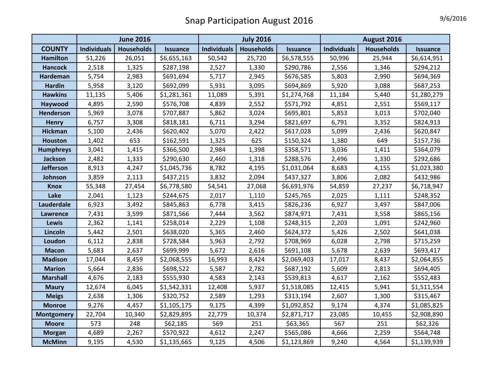|                   | <b>June 2016</b>   |                   |                 | <b>July 2016</b>   |                   |                 | August 2016        |                   |                 |
|-------------------|--------------------|-------------------|-----------------|--------------------|-------------------|-----------------|--------------------|-------------------|-----------------|
| <b>COUNTY</b>     | <b>Individuals</b> | <b>Households</b> | <b>Issuance</b> | <b>Individuals</b> | <b>Households</b> | <b>Issuance</b> | <b>Individuals</b> | <b>Households</b> | <b>Issuance</b> |
| <b>Hamilton</b>   | 51,226             | 26,051            | \$6,655,163     | 50,542             | 25,720            | \$6,578,555     | 50,996             | 25,944            | \$6,614,951     |
| <b>Hancock</b>    | 2,518              | 1,325             | \$287,198       | 2,527              | 1,330             | \$290,786       | 2,556              | 1,346             | \$294,212       |
| Hardeman          | 5,754              | 2,983             | \$691,694       | 5,717              | 2,945             | \$676,585       | 5,803              | 2,990             | \$694,369       |
| <b>Hardin</b>     | 5,958              | 3,120             | \$692,099       | 5,931              | 3,095             | \$694,869       | 5,920              | 3,088             | \$687,253       |
| <b>Hawkins</b>    | 11,135             | 5,406             | \$1,281,361     | 11,089             | 5,391             | \$1,274,768     | 11,184             | 5,440             | \$1,280,279     |
| Haywood           | 4,895              | 2,590             | \$576,708       | 4,839              | 2,552             | \$571,792       | 4,851              | 2,551             | \$569,117       |
| <b>Henderson</b>  | 5,969              | 3,078             | \$707,887       | 5,862              | 3,024             | \$695,801       | 5,853              | 3,013             | \$702,040       |
| <b>Henry</b>      | 6,757              | 3,308             | \$818,181       | 6,711              | 3,294             | \$821,697       | 6,791              | 3,352             | \$824,913       |
| <b>Hickman</b>    | 5,100              | 2,436             | \$620,402       | 5,070              | 2,422             | \$617,028       | 5,099              | 2,436             | \$620,847       |
| <b>Houston</b>    | 1,402              | 653               | \$162,591       | 1,325              | 625               | \$150,324       | 1,380              | 649               | \$157,736       |
| <b>Humphreys</b>  | 3,041              | 1,415             | \$366,500       | 2,984              | 1,398             | \$358,571       | 3,036              | 1,411             | \$364,079       |
| <b>Jackson</b>    | 2,482              | 1,333             | \$290,630       | 2,460              | 1,318             | \$288,576       | 2,496              | 1,330             | \$292,686       |
| <b>Jefferson</b>  | 8,913              | 4,247             | \$1,045,736     | 8,782              | 4,195             | \$1,031,064     | 8,683              | 4,155             | \$1,023,380     |
| Johnson           | 3,859              | 2,113             | \$437,215       | 3,832              | 2,094             | \$437,327       | 3,806              | 2,082             | \$432,986       |
| <b>Knox</b>       | 55,348             | 27,454            | \$6,778,580     | 54,541             | 27,068            | \$6,691,976     | 54,859             | 27,237            | \$6,718,947     |
| Lake              | 2,041              | 1,123             | \$244,675       | 2,017              | 1,110             | \$245,765       | 2,025              | 1,111             | \$248,352       |
| Lauderdale        | 6,923              | 3,492             | \$845,863       | 6,778              | 3,415             | \$826,236       | 6,927              | 3,497             | \$847,006       |
| <b>Lawrence</b>   | 7,431              | 3,599             | \$871,566       | 7,444              | 3,562             | \$874,971       | 7,431              | 3,558             | \$865,156       |
| <b>Lewis</b>      | 2,362              | 1,141             | \$258,014       | 2,229              | 1,108             | \$248,315       | 2,203              | 1,091             | \$242,960       |
| Lincoln           | 5,442              | 2,501             | \$638,020       | 5,365              | 2,460             | \$624,372       | 5,426              | 2,502             | \$641,038       |
| Loudon            | 6,112              | 2,838             | \$728,584       | 5,963              | 2,792             | \$708,969       | 6,028              | 2,798             | \$715,259       |
| <b>Macon</b>      | 5,683              | 2,637             | \$699,999       | 5,672              | 2,616             | \$691,108       | 5,678              | 2,639             | \$693,417       |
| <b>Madison</b>    | 17,044             | 8,459             | \$2,068,555     | 16,993             | 8,424             | \$2,069,403     | 17,017             | 8,437             | \$2,064,855     |
| <b>Marion</b>     | 5,664              | 2,836             | \$698,522       | 5,587              | 2,782             | \$687,192       | 5,609              | 2,813             | \$694,405       |
| <b>Marshall</b>   | 4,676              | 2,183             | \$555,930       | 4,583              | 2,143             | \$539,813       | 4,617              | 2,162             | \$552,483       |
| <b>Maury</b>      | 12,674             | 6,045             | \$1,542,331     | 12,408             | 5,937             | \$1,518,085     | 12,415             | 5,941             | \$1,511,554     |
| <b>Meigs</b>      | 2,638              | 1,306             | \$320,752       | 2,589              | 1,293             | \$313,194       | 2,607              | 1,300             | \$315,467       |
| <b>Monroe</b>     | 9,276              | 4,457             | \$1,105,175     | 9,175              | 4,399             | \$1,092,852     | 9,174              | 4,374             | \$1,085,825     |
| <b>Montgomery</b> | 22,704             | 10,340            | \$2,829,895     | 22,779             | 10,374            | \$2,871,717     | 23,085             | 10,455            | \$2,908,890     |
| <b>Moore</b>      | 573                | 248               | \$62,185        | 569                | 251               | \$63,365        | 567                | 251               | \$62,326        |
| <b>Morgan</b>     | 4,689              | 2,267             | \$570,922       | 4,612              | 2,247             | \$565,086       | 4,666              | 2,259             | \$564,748       |
| <b>McMinn</b>     | 9,195              | 4,530             | \$1,135,665     | 9,125              | 4,506             | \$1,123,869     | 9,240              | 4,564             | \$1,139,939     |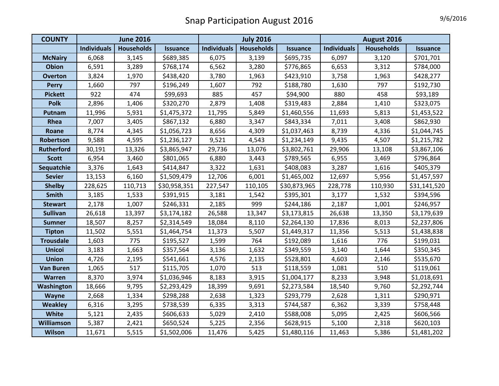| <b>COUNTY</b>     | <b>June 2016</b>   |                   |                 | <b>July 2016</b>   |                   |                 | August 2016        |                   |                 |
|-------------------|--------------------|-------------------|-----------------|--------------------|-------------------|-----------------|--------------------|-------------------|-----------------|
|                   | <b>Individuals</b> | <b>Households</b> | <b>Issuance</b> | <b>Individuals</b> | <b>Households</b> | <b>Issuance</b> | <b>Individuals</b> | <b>Households</b> | <b>Issuance</b> |
| <b>McNairy</b>    | 6,068              | 3,145             | \$689,385       | 6,075              | 3,139             | \$695,735       | 6,097              | 3,120             | \$701,701       |
| <b>Obion</b>      | 6,591              | 3,289             | \$768,174       | 6,562              | 3,280             | \$776,865       | 6,653              | 3,312             | \$784,000       |
| <b>Overton</b>    | 3,824              | 1,970             | \$438,420       | 3,780              | 1,963             | \$423,910       | 3,758              | 1,963             | \$428,277       |
| <b>Perry</b>      | 1,660              | 797               | \$196,249       | 1,607              | 792               | \$188,780       | 1,630              | 797               | \$192,730       |
| <b>Pickett</b>    | 922                | 474               | \$99,693        | 885                | 457               | \$94,900        | 880                | 458               | \$93,189        |
| <b>Polk</b>       | 2,896              | 1,406             | \$320,270       | 2,879              | 1,408             | \$319,483       | 2,884              | 1,410             | \$323,075       |
| Putnam            | 11,996             | 5,931             | \$1,475,372     | 11,795             | 5,849             | \$1,460,556     | 11,693             | 5,813             | \$1,453,522     |
| Rhea              | 7,007              | 3,405             | \$867,132       | 6,880              | 3,347             | \$843,334       | 7,011              | 3,408             | \$862,930       |
| Roane             | 8,774              | 4,345             | \$1,056,723     | 8,656              | 4,309             | \$1,037,463     | 8,739              | 4,336             | \$1,044,745     |
| Robertson         | 9,588              | 4,595             | \$1,236,127     | 9,521              | 4,543             | \$1,234,149     | 9,435              | 4,507             | \$1,215,782     |
| <b>Rutherford</b> | 30,191             | 13,326            | \$3,865,947     | 29,736             | 13,076            | \$3,802,761     | 29,906             | 13,108            | \$3,867,106     |
| <b>Scott</b>      | 6,954              | 3,460             | \$801,065       | 6,880              | 3,443             | \$789,565       | 6,955              | 3,469             | \$796,864       |
| Sequatchie        | 3,376              | 1,643             | \$414,847       | 3,322              | 1,631             | \$408,083       | 3,287              | 1,616             | \$405,379       |
| <b>Sevier</b>     | 13,153             | 6,160             | \$1,509,479     | 12,706             | 6,001             | \$1,465,002     | 12,697             | 5,956             | \$1,457,597     |
| <b>Shelby</b>     | 228,625            | 110,713           | \$30,958,351    | 227,547            | 110,105           | \$30,873,965    | 228,778            | 110,930           | \$31,141,520    |
| <b>Smith</b>      | 3,185              | 1,533             | \$391,915       | 3,181              | 1,542             | \$395,301       | 3,177              | 1,532             | \$394,596       |
| <b>Stewart</b>    | 2,178              | 1,007             | \$246,331       | 2,185              | 999               | \$244,186       | 2,187              | 1,001             | \$246,957       |
| <b>Sullivan</b>   | 26,618             | 13,397            | \$3,174,182     | 26,588             | 13,347            | \$3,173,815     | 26,638             | 13,350            | \$3,179,639     |
| <b>Sumner</b>     | 18,507             | 8,257             | \$2,314,549     | 18,084             | 8,110             | \$2,264,130     | 17,836             | 8,013             | \$2,237,806     |
| <b>Tipton</b>     | 11,502             | 5,551             | \$1,464,754     | 11,373             | 5,507             | \$1,449,317     | 11,356             | 5,513             | \$1,438,838     |
| <b>Trousdale</b>  | 1,603              | 775               | \$195,527       | 1,599              | 764               | \$192,089       | 1,616              | 776               | \$199,031       |
| <b>Unicoi</b>     | 3,183              | 1,663             | \$357,564       | 3,136              | 1,632             | \$349,559       | 3,140              | 1,644             | \$350,345       |
| <b>Union</b>      | 4,726              | 2,195             | \$541,661       | 4,576              | 2,135             | \$528,801       | 4,603              | 2,146             | \$535,670       |
| <b>Van Buren</b>  | 1,065              | 517               | \$115,705       | 1,070              | 513               | \$118,559       | 1,081              | 510               | \$119,061       |
| Warren            | 8,370              | 3,974             | \$1,036,946     | 8,183              | 3,915             | \$1,004,177     | 8,233              | 3,948             | \$1,018,691     |
| Washington        | 18,666             | 9,795             | \$2,293,429     | 18,399             | 9,691             | \$2,273,584     | 18,540             | 9,760             | \$2,292,744     |
| Wayne             | 2,668              | 1,334             | \$298,288       | 2,638              | 1,323             | \$293,779       | 2,628              | 1,311             | \$290,971       |
| <b>Weakley</b>    | 6,316              | 3,295             | \$738,539       | 6,335              | 3,313             | \$744,587       | 6,362              | 3,339             | \$758,448       |
| White             | 5,121              | 2,435             | \$606,633       | 5,029              | 2,410             | \$588,008       | 5,095              | 2,425             | \$606,566       |
| Williamson        | 5,387              | 2,421             | \$650,524       | 5,225              | 2,356             | \$628,915       | 5,100              | 2,318             | \$620,103       |
| Wilson            | 11,671             | 5,515             | \$1,502,006     | 11,476             | 5,425             | \$1,480,116     | 11,463             | 5,386             | \$1,481,202     |